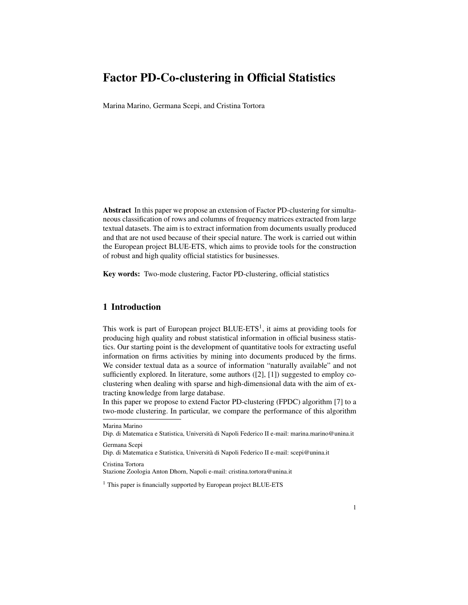# Factor PD-Co-clustering in Official Statistics

Marina Marino, Germana Scepi, and Cristina Tortora

Abstract In this paper we propose an extension of Factor PD-clustering for simultaneous classification of rows and columns of frequency matrices extracted from large textual datasets. The aim is to extract information from documents usually produced and that are not used because of their special nature. The work is carried out within the European project BLUE-ETS, which aims to provide tools for the construction of robust and high quality official statistics for businesses.

Key words: Two-mode clustering, Factor PD-clustering, official statistics

## 1 Introduction

This work is part of European project  $B LUE-ETS<sup>1</sup>$ , it aims at providing tools for producing high quality and robust statistical information in official business statistics. Our starting point is the development of quantitative tools for extracting useful information on firms activities by mining into documents produced by the firms. We consider textual data as a source of information "naturally available" and not sufficiently explored. In literature, some authors ([2], [1]) suggested to employ coclustering when dealing with sparse and high-dimensional data with the aim of extracting knowledge from large database.

In this paper we propose to extend Factor PD-clustering (FPDC) algorithm [7] to a two-mode clustering. In particular, we compare the performance of this algorithm

Germana Scepi

Dip. di Matematica e Statistica, Universita di Napoli Federico II e-mail: scepi@unina.it `

Cristina Tortora

Stazione Zoologia Anton Dhorn, Napoli e-mail: cristina.tortora@unina.it

Marina Marino

Dip. di Matematica e Statistica, Universita di Napoli Federico II e-mail: marina.marino@unina.it `

<sup>&</sup>lt;sup>1</sup> This paper is financially supported by European project BLUE-ETS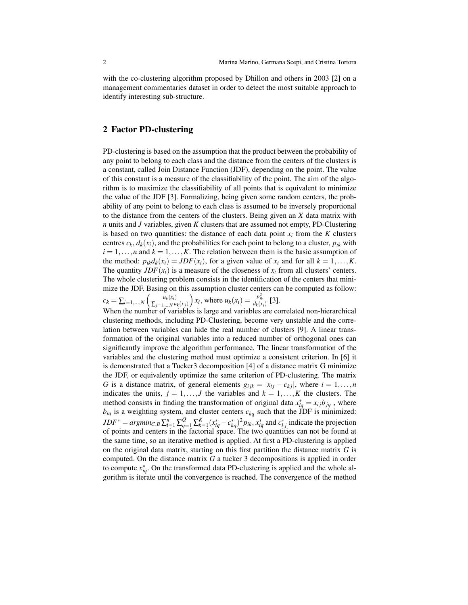with the co-clustering algorithm proposed by Dhillon and others in 2003 [2] on a management commentaries dataset in order to detect the most suitable approach to identify interesting sub-structure.

### 2 Factor PD-clustering

PD-clustering is based on the assumption that the product between the probability of any point to belong to each class and the distance from the centers of the clusters is a constant, called Join Distance Function (JDF), depending on the point. The value of this constant is a measure of the classifiability of the point. The aim of the algorithm is to maximize the classifiability of all points that is equivalent to minimize the value of the JDF [3]. Formalizing, being given some random centers, the probability of any point to belong to each class is assumed to be inversely proportional to the distance from the centers of the clusters. Being given an *X* data matrix with *n* units and *J* variables, given *K* clusters that are assumed not empty, PD-Clustering is based on two quantities: the distance of each data point  $x_i$  from the  $K$  clusters centres  $c_k$ ,  $d_k(x_i)$ , and the probabilities for each point to belong to a cluster,  $p_{ik}$  with  $i = 1, \ldots, n$  and  $k = 1, \ldots, K$ . The relation between them is the basic assumption of the method:  $p_{ik}d_k(x_i) = JDF(x_i)$ , for a given value of  $x_i$  and for all  $k = 1, \ldots, K$ . The quantity  $JDF(x_i)$  is a measure of the closeness of  $x_i$  from all clusters' centers. The whole clustering problem consists in the identification of the centers that minimize the JDF. Basing on this assumption cluster centers can be computed as follow:

$$
c_k = \sum_{i=1,...,N} \left( \frac{u_k(x_i)}{\sum_{j=1,...,N} u_k(x_j)} \right) x_i, \text{ where } u_k(x_i) = \frac{p_{ik}^2}{d_k(x_i)} \text{ [3].}
$$

When the number of variables is large and variables are correlated non-hierarchical clustering methods, including PD-Clustering, become very unstable and the correlation between variables can hide the real number of clusters [9]. A linear transformation of the original variables into a reduced number of orthogonal ones can significantly improve the algorithm performance. The linear transformation of the variables and the clustering method must optimize a consistent criterion. In [6] it is demonstrated that a Tucker3 decomposition [4] of a distance matrix G minimize the JDF, or equivalently optimize the same criterion of PD-clustering. The matrix *G* is a distance matrix, of general elements  $g_{ijk} = |x_{ij} - c_{ki}|$ , where  $i = 1, \ldots, n$ indicates the units,  $j = 1, \ldots, J$  the variables and  $k = 1, \ldots, K$  the clusters. The method consists in finding the transformation of original data  $x_{iq}^* = x_{ij}b_{jq}$ , where  $b_{iq}$  is a weighting system, and cluster centers  $c_{kq}$  such that the JDF is minimized:  $JDF^* = argmin_{C,B} \sum_{i=1}^n \sum_{q=1}^Q \sum_{k=1}^K (x_{iq}^* - c_{kq}^*)^2 p_{ik}, x_{iq}^*$  and  $c_{kj}^*$  indicate the projection of points and centers in the factorial space. The two quantities can not be found at the same time, so an iterative method is applied. At first a PD-clustering is applied on the original data matrix, starting on this first partition the distance matrix *G* is computed. On the distance matrix *G* a tucker 3 decompositions is applied in order to compute  $x_{iq}^*$ . On the transformed data PD-clustering is applied and the whole algorithm is iterate until the convergence is reached. The convergence of the method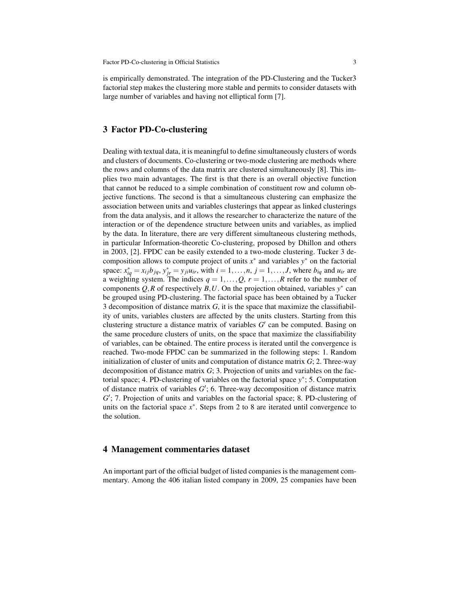is empirically demonstrated. The integration of the PD-Clustering and the Tucker3 factorial step makes the clustering more stable and permits to consider datasets with large number of variables and having not elliptical form [7].

#### 3 Factor PD-Co-clustering

Dealing with textual data, it is meaningful to define simultaneously clusters of words and clusters of documents. Co-clustering or two-mode clustering are methods where the rows and columns of the data matrix are clustered simultaneously [8]. This implies two main advantages. The first is that there is an overall objective function that cannot be reduced to a simple combination of constituent row and column objective functions. The second is that a simultaneous clustering can emphasize the association between units and variables clusterings that appear as linked clusterings from the data analysis, and it allows the researcher to characterize the nature of the interaction or of the dependence structure between units and variables, as implied by the data. In literature, there are very different simultaneous clustering methods, in particular Information-theoretic Co-clustering, proposed by Dhillon and others in 2003, [2]. FPDC can be easily extended to a two-mode clustering. Tucker 3 decomposition allows to compute project of units  $x^*$  and variables  $y^*$  on the factorial space:  $x_{iq}^* = x_{ij}b_{jq}$ ,  $y_{jr}^* = y_{ji}u_{ir}$ , with  $i = 1, ..., n$ ,  $j = 1, ..., J$ , where  $b_{iq}$  and  $u_{ir}$  are a weighting system. The indices  $q = 1, \ldots, Q, r = 1, \ldots, R$  refer to the number of components  $Q, R$  of respectively  $B, U$ . On the projection obtained, variables  $y^*$  can be grouped using PD-clustering. The factorial space has been obtained by a Tucker 3 decomposition of distance matrix *G*, it is the space that maximize the classifiability of units, variables clusters are affected by the units clusters. Starting from this clustering structure a distance matrix of variables  $G'$  can be computed. Basing on the same procedure clusters of units, on the space that maximize the classifiability of variables, can be obtained. The entire process is iterated until the convergence is reached. Two-mode FPDC can be summarized in the following steps: 1. Random initialization of cluster of units and computation of distance matrix *G*; 2. Three-way decomposition of distance matrix *G*; 3. Projection of units and variables on the factorial space; 4. PD-clustering of variables on the factorial space *y* ∗ ; 5. Computation of distance matrix of variables  $G'$ ; 6. Three-way decomposition of distance matrix G'; 7. Projection of units and variables on the factorial space; 8. PD-clustering of units on the factorial space *x* ∗ . Steps from 2 to 8 are iterated until convergence to the solution.

#### 4 Management commentaries dataset

An important part of the official budget of listed companies is the management commentary. Among the 406 italian listed company in 2009, 25 companies have been